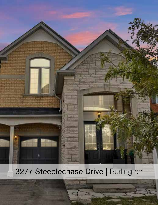## 3277 Steeplechase Drive | Burlington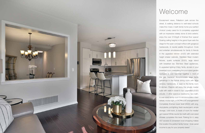Escarpment views, Palladium park across the street, & walking distance to well-rated schools make this 4 bed, 4 bath family home your perfect choice! Lovely cared for & completely upgraded with an impressive stately stone & brick exterior, enjoy the over 3100sqft of finished floor space! Soaring ceiling heights in the grand foyer sets the stage for the open concept m/floor with gorgeous hardwoods, & neutral palette throughout. Cook and entertain simultaneously for family & friends in the upgraded kitchen (2020) with extended height shaker cabinets, Stainless Steel modern fixtures, quartz surfaces (2020), large island with breakfast bar, Stainless Steel appliances, & upgraded lighting! Enjoy family dinners in your breakfast room overlooking the pool-sized garden backyard & cozy evenings together in front of the gas fireplace! Accommodate large family gatherings in the formal dining room with large window, hardwoods, & open to the family room & kitchen. Parents will enjoy the private master suite with walk-in closet & 5pc upgraded (2020) ensuite. 3 other spacious bedrooms, 5pc bath, & over-sized family room to accommodate a teen retreat, movie night, or WORK/LIVE arrangements! Completely finished lower level (2020) with eng. vinyl planks, pot lighting, fresh neutral paint, ample storage, cold room, & loads of room for media/ gym space! White neutral 3pc bath with over-sized shower completes this level. Parking for 4, easy 407 access & convenient local shopping makes this location the perfect family home! Solar panel income to pay for your property taxes!



## Welcome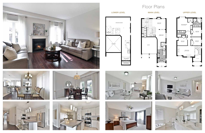









LOWER LEVEL 3277 STEEP MAIN LEVEL 3277 STEEP DRIVE MAIN LEVEL 3277 STEEP DRIVE DRIVE UPPER LEVEL

## Floor Plans











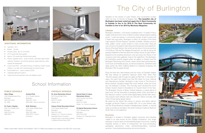## School Information

#### Alton Village

3290 Steeplechase Drive **Burlington** (905) 332-4206 JK- GR8

#### Dr. Frank J Hayden

3040 Tim Dobbie Drive **Burlington** (905) 332-5235 GR9-GR12

### Orchard Park

5151 Dryden Avenue Burlington (905) 331-7233 GR2-GR8 / French Immersion

#### M.M. Robinson

2425 Upper Middle Road **Burlington** (905) 335-5588 GR9-GR12 / French Immersion

### PUBLIC SCHOOLS CATHOLIC SCHOOLS

### St. Anne Elementary School

4675 Doug Wright Drive **Burlington** (905) 315-8384 Grades JK-8

### Corpus Christi Secondary School

5150 Upper Middle Road **Burlington** (905) 331-5591 Grades 9-12 / French Immersion Extended French Immersion programming for secondary students is offered at Notre Dame CSS.

#### Sacred Heart of Jesus Elementary School

2222 Country Club Drive Burlington (905) 331-4656 Grade 1-8 / French Immersion

#### St Gabriel Elementary School

2227 Parkway Drive **Burlington** (905) 332-3333 Grades 5-8 / Extended French Immersion



# The City of Burlington

Situated on the shores of Lake Ontario and conveniently located within an hour of Toronto & Niagara Falls. **The beautiful city of Burlington has been voted yet again the #1 Best Community In Canada to live in for 2019 & The Best Community for Families to live in for 2019 by Macleans Magazine.**

#### **Lifestyle**

Burlington maintains 1,433 acres of parkland and 115 parks! It has a quality of life second to none. It offers 6 outdoor splash pads & wading pools, 7 multi-use arenas, 4 community centres, 8 golf courses and 3 leash free dog parks. Burlington is within 45 minutes of the three major airports Toronto Pearson, Hamilton & Buffalo. Whether you're a hiker, walker, runner, cyclist, boater or cross country skier, there are over 35 kms of recreation trails along the Escarpment and waterfront. Some of the best hiking in the world can be done in the local sections of the Bruce Trail and the Niagara Escarpment, as well as along the beautiful Waterfront Trail that skirts the northern shore of Lake Ontario. Experience the bustling downtown core and enjoy the history in the museums and many galleries close to the waterfront. The Burlington Art Centre(the seventh largest public art gallery in Ontario) and the Burlington Performing Arts Centre, where world class performances, local music and theatre groups, as well as receptions, exhibitions and large events are within walking distance to Lakeside shopping, the Burlington Pier & superb dining!

- Year Built: 2011
- Builder: Sundial
- Property Taxes: \$5,727.00 (2020)
- 2410 square feet above grade
- Approx 700 square feet finished below grade
- Kitchen upgrades 2020 quartz surfaces, extended height shaker cabinets, hardware, sink and tap replaced, large b/fast bar, white subway tile backsplash
- Lower Level 2020 vinyl plank flooring, pot lighting, modern square millwork, 3 pc bath with oversized glass-enclosed shower
- Ensuite Bathroom quartz surfaces (2020)
- Upgraded lighting throughout
- Large fully fenced backyard oasis with flagstone patio





Enjoy the best ribs, lake breezes and live music at Canada's largest Rib Fest festival at waterfront Spencer Smith Park. More than 180,000 people walk through the gates at Rib Fest. In the past 20 years, the event has raised more than \$3 million for local, national and international charities. Burlington is also home to The Sound of Music Festival, Canada's largest free music festival, voted one of the top 100 festivals in Ontario. This nine-day event received the 2016 Ontario Tourism Award of Excellence for Tourism Event of the Year. The Burlington Sound of Music Festival features a unique blend of past icons, the fan favourites & emerging artists. Enjoy and listen to this fabulous outdoor concert while appreciating tranquil lake views. This popular event attracts well over 200,000 visitors annually, with 75% of those being repeat visitors.

Be awed by the vibrant fall colours in autumn and watch salmon struggle up Bronte Creek to Lowville Park. On a cold winter's day, visit the Royal Botanical Garden's Mediterranean Garden, a tropical oasis or bundle up and take in the winter Festival of Lights at Spencer Smith Park on the waterfront.

### Economy

Burlington is located in Canada's largest consumer and industrial market in an area known as the "Golden Horseshoe". Any single employer or sector does not dominate Burlington's economy. Leading industrial sectors in terms of employment are food processing, packaging, electronics, motor vehicle/transportation, business services, chemical/pharmaceutical and environmental.



### ADDITIONAL INFORMATION